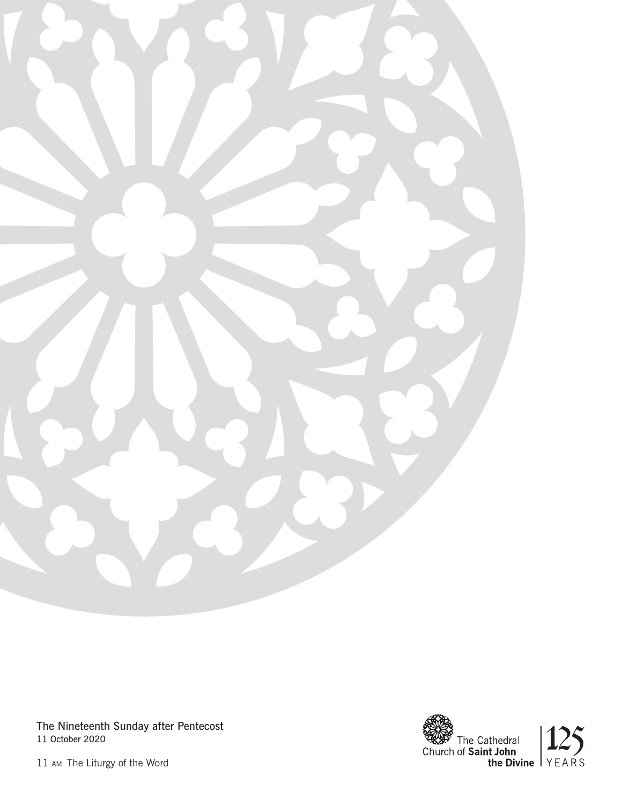

The Nineteenth Sunday after Pentecost 11 October 2020



11 am The Liturgy of the Word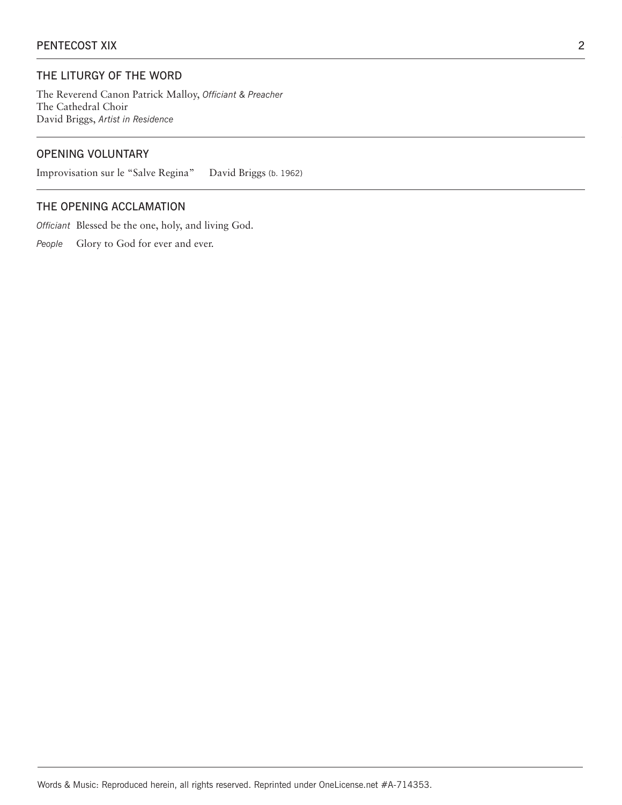## THE LITURGY OF THE WORD

The Reverend Canon Patrick Malloy, *Officiant & Preacher*  The Cathedral Choir David Briggs, *Artist in Residence*

# OPENING VOLUNTARY

Improvisation sur le "Salve Regina" David Briggs (b. 1962)

# THE OPENING ACCLAMATION

*Officiant* Blessed be the one, holy, and living God.

People Glory to God for ever and ever.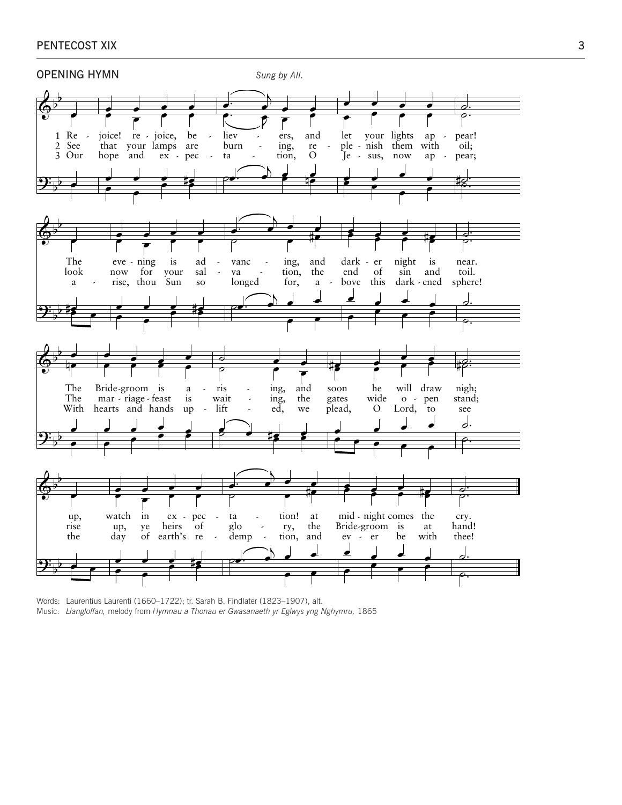

Words: Laurentius Laurenti (1660–1722); tr. Sarah B. Findlater (1823–1907), alt. Music: *Llangloffan,* melody from *Hymnau a Thonau er Gwasanaeth yr Eglwys yng Nghymru,* 1865

## PENTECOST XIX 3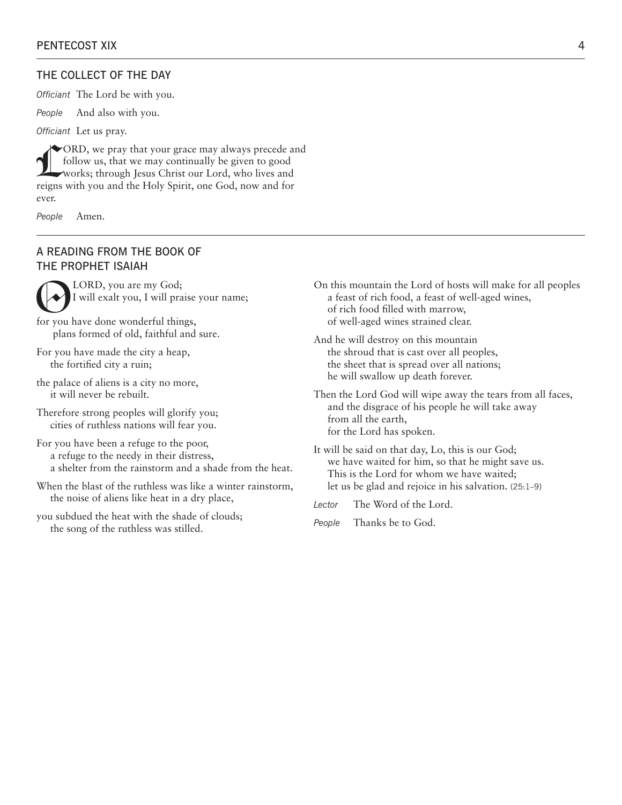#### THE COLLECT OF THE DAY

*Officiant* The Lord be with you.

*People* And also with you.

*Officiant* Let us pray.

ORD, we pray that your grace may always precede and follow us, that we may continually be given to good works; through Jesus Christ our Lord, who lives and reigns with you and the Holy Spirit, one Cod now and for follow us, that we may continually be given to good reigns with you and the Holy Spirit, one God, now and for ever.

*People* Amen.

### A READING FROM THE BOOK OF THE PROPHET ISAIAH

LORD, you are my God;<br>I will exalt you, I will pra I will exalt you, I will praise your name;

for you have done wonderful things, plans formed of old, faithful and sure.

- For you have made the city a heap, the fortified city a ruin;
- the palace of aliens is a city no more, it will never be rebuilt.
- Therefore strong peoples will glorify you; cities of ruthless nations will fear you.

For you have been a refuge to the poor, a refuge to the needy in their distress, a shelter from the rainstorm and a shade from the heat.

- When the blast of the ruthless was like a winter rainstorm, the noise of aliens like heat in a dry place,
- you subdued the heat with the shade of clouds; the song of the ruthless was stilled.
- On this mountain the Lord of hosts will make for all peoples a feast of rich food, a feast of well-aged wines, of rich food filled with marrow, of well-aged wines strained clear.
- And he will destroy on this mountain the shroud that is cast over all peoples, the sheet that is spread over all nations; he will swallow up death forever.
- Then the Lord God will wipe away the tears from all faces, and the disgrace of his people he will take away from all the earth, for the Lord has spoken.
- It will be said on that day, Lo, this is our God; we have waited for him, so that he might save us. This is the Lord for whom we have waited; let us be glad and rejoice in his salvation. (25:1–9)
- *Lector* The Word of the Lord.
- *People* Thanks be to God.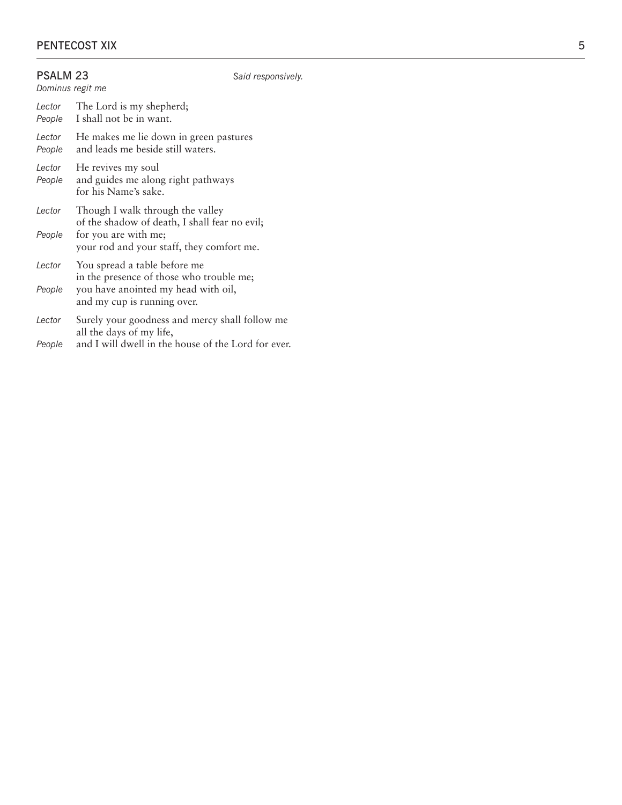| PSALM <sub>23</sub><br>Dominus regit me |                                                                                                                                                        | Said responsively. |  |  |  |  |  |  |  |
|-----------------------------------------|--------------------------------------------------------------------------------------------------------------------------------------------------------|--------------------|--|--|--|--|--|--|--|
| Lector<br>People                        | The Lord is my shepherd;<br>I shall not be in want.                                                                                                    |                    |  |  |  |  |  |  |  |
| Lector<br>People                        | He makes me lie down in green pastures<br>and leads me beside still waters.                                                                            |                    |  |  |  |  |  |  |  |
| Lector<br>People                        | He revives my soul<br>and guides me along right pathways<br>for his Name's sake.                                                                       |                    |  |  |  |  |  |  |  |
| Lector<br>People                        | Though I walk through the valley<br>of the shadow of death, I shall fear no evil;<br>for you are with me;<br>your rod and your staff, they comfort me. |                    |  |  |  |  |  |  |  |
| Lector<br>People                        | You spread a table before me<br>in the presence of those who trouble me;<br>you have anointed my head with oil,<br>and my cup is running over.         |                    |  |  |  |  |  |  |  |
| Lector<br>People                        | Surely your goodness and mercy shall follow me<br>all the days of my life,<br>and I will dwell in the house of the Lord for ever.                      |                    |  |  |  |  |  |  |  |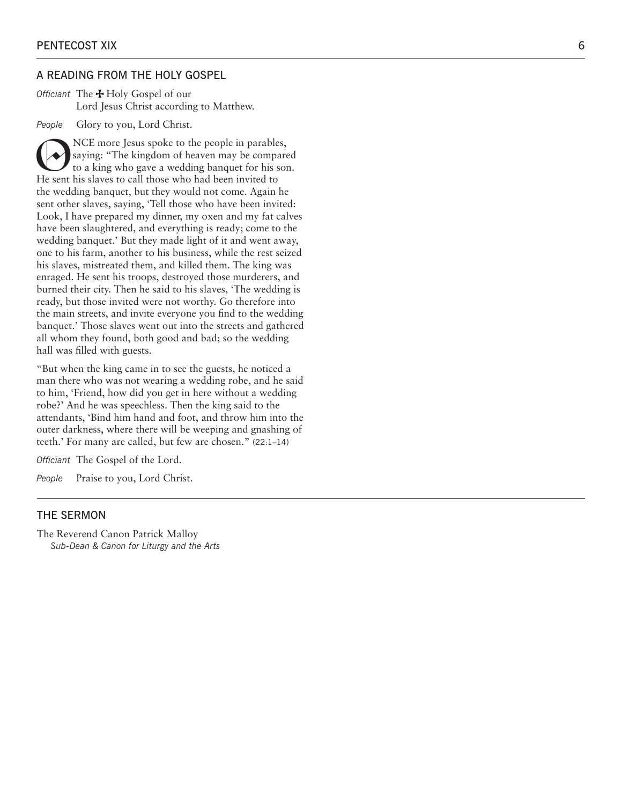#### A READING FROM THE HOLY GOSPEL

*Officiant* The Holy Gospel of our Lord Jesus Christ according to Matthew.

*People* Glory to you, Lord Christ.

NCE more Jesus spoke to the people in parables,<br>
saying: "The kingdom of heaven may be compared<br>
to a king who gave a wedding banquet for his son.<br>
He sent his slaves to call those who had been invited to saying: "The kingdom of heaven may be compared He sent his slaves to call those who had been invited to the wedding banquet, but they would not come. Again he sent other slaves, saying, 'Tell those who have been invited: Look, I have prepared my dinner, my oxen and my fat calves have been slaughtered, and everything is ready; come to the wedding banquet.' But they made light of it and went away, one to his farm, another to his business, while the rest seized his slaves, mistreated them, and killed them. The king was enraged. He sent his troops, destroyed those murderers, and burned their city. Then he said to his slaves, 'The wedding is ready, but those invited were not worthy. Go therefore into the main streets, and invite everyone you find to the wedding banquet.' Those slaves went out into the streets and gathered all whom they found, both good and bad; so the wedding hall was filled with guests.

"But when the king came in to see the guests, he noticed a man there who was not wearing a wedding robe, and he said to him, 'Friend, how did you get in here without a wedding robe?' And he was speechless. Then the king said to the attendants, 'Bind him hand and foot, and throw him into the outer darkness, where there will be weeping and gnashing of teeth.' For many are called, but few are chosen." (22:1–14)

*Officiant* The Gospel of the Lord.

*People* Praise to you, Lord Christ.

#### THE SERMON

The Reverend Canon Patrick Malloy *Sub-Dean & Canon for Liturgy and the Arts*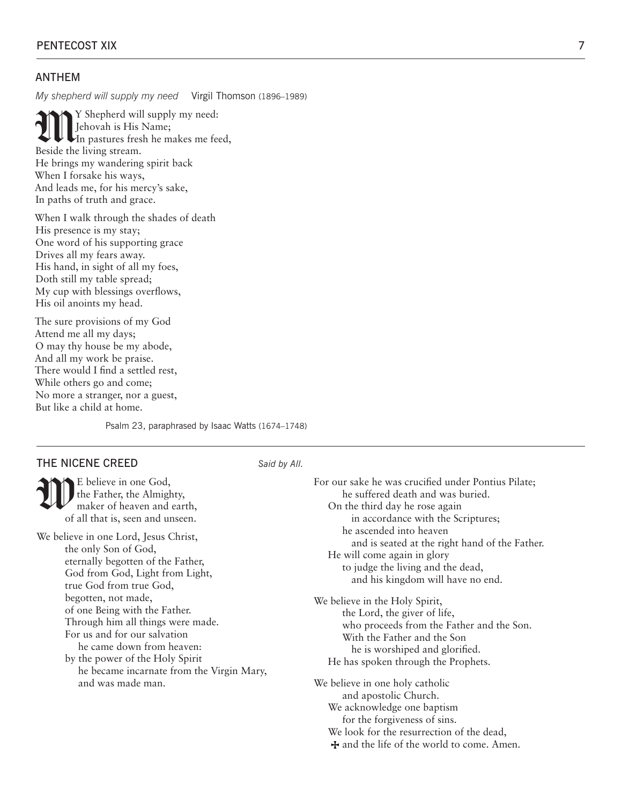## ANTHEM

*My shepherd will supply my need* Virgil Thomson (1896–1989)

**My** Shepherd will supply my need:<br> **In** pastures fresh he makes me feed,<br>
Beside the living stream Jehovah is His Name; Beside the living stream. He brings my wandering spirit back When I forsake his ways, And leads me, for his mercy's sake, In paths of truth and grace.

When I walk through the shades of death His presence is my stay; One word of his supporting grace Drives all my fears away. His hand, in sight of all my foes, Doth still my table spread; My cup with blessings overflows, His oil anoints my head.

The sure provisions of my God Attend me all my days; O may thy house be my abode, And all my work be praise. There would I find a settled rest, While others go and come; No more a stranger, nor a guest, But like a child at home.

Psalm 23, paraphrased by Isaac Watts (1674–1748)

## THE NICENE CREED *Said by All.*

E believe in one God,<br>the Father, the Almight<br>maker of heaven and the Father, the Almighty, maker of heaven and earth, of all that is, seen and unseen.

We believe in one Lord, Jesus Christ, the only Son of God, eternally begotten of the Father, God from God, Light from Light, true God from true God, begotten, not made, of one Being with the Father. Through him all things were made. For us and for our salvation he came down from heaven: by the power of the Holy Spirit he became incarnate from the Virgin Mary, and was made man.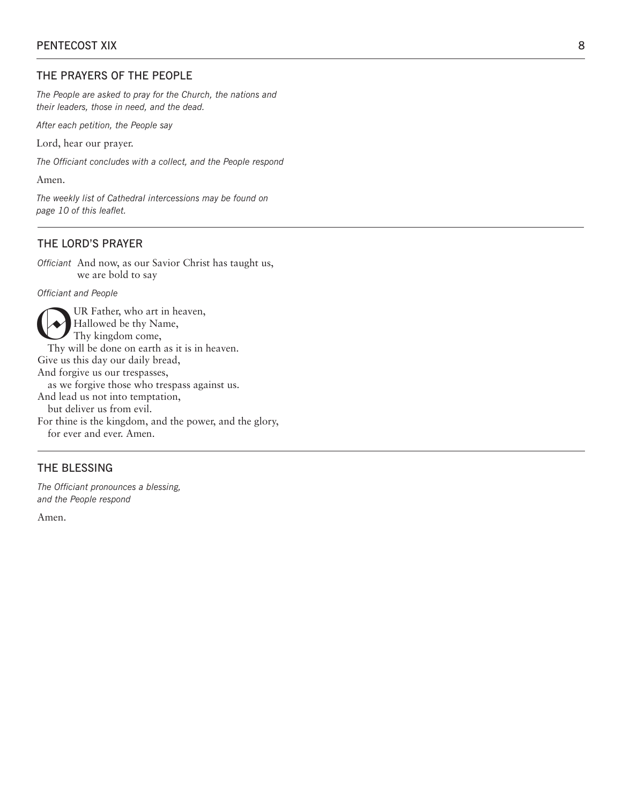## THE PRAYERS OF THE PEOPLE

*The People are asked to pray for the Church, the nations and their leaders, those in need, and the dead.* 

*After each petition, the People say*

Lord, hear our prayer.

*The Officiant concludes with a collect, and the People respond* 

Amen.

*The weekly list of Cathedral intercessions may be found on page 10 of this leaflet.*

#### THE LORD'S PRAYER

*Officiant* And now, as our Savior Christ has taught us, we are bold to say

*Officiant and People*

UR Father, who art in heaven, Hallowed be thy Name, Thy kingdom come, Thy will be done on earth as it is in heaven. Give us this day our daily bread, And forgive us our trespasses, as we forgive those who trespass against us. And lead us not into temptation, but deliver us from evil. For thine is the kingdom, and the power, and the glory, for ever and ever. Amen.

## THE BLESSING

*The Officiant pronounces a blessing, and the People respond*

Amen.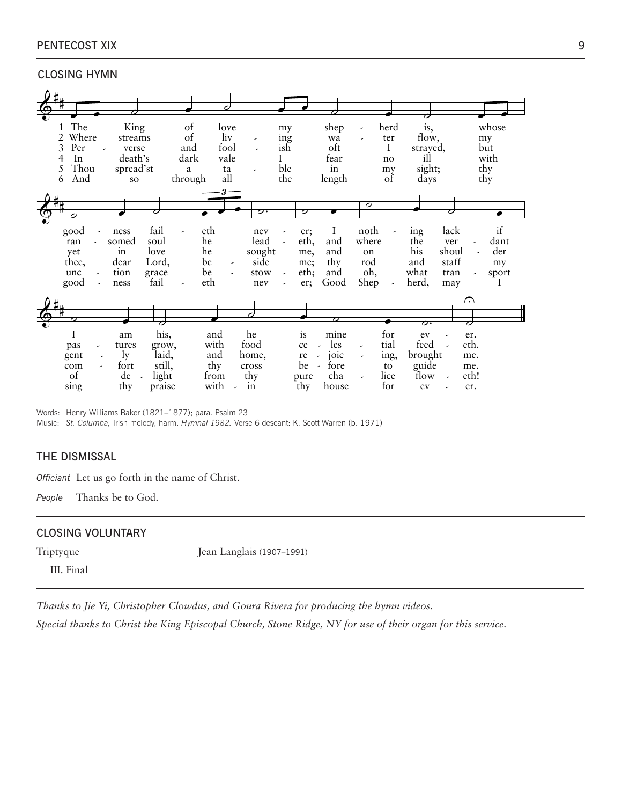## PENTECOST XIX 9

### CLOSING HYMN

|            |                          |           |        |                          |                      | ╭                        |                          |                          |                                |                                 |                          |                          |          |                          |                          |          |
|------------|--------------------------|-----------|--------|--------------------------|----------------------|--------------------------|--------------------------|--------------------------|--------------------------------|---------------------------------|--------------------------|--------------------------|----------|--------------------------|--------------------------|----------|
|            |                          |           |        |                          |                      |                          |                          |                          |                                |                                 |                          |                          |          |                          |                          |          |
| The<br>1   |                          | King      |        | of                       |                      | love                     |                          | my                       |                                | shep                            | -                        | herd                     | is,      |                          |                          | whose    |
| Where<br>2 |                          | streams   |        | of                       |                      | liv                      | $\overline{\phantom{a}}$ | ing                      |                                | wa                              | ٠                        | ter                      | flow,    |                          |                          | my       |
| 3<br>Per   | $\overline{\phantom{a}}$ | verse     |        | and                      | fool                 |                          |                          | ish                      |                                | oft                             |                          | I                        | strayed, |                          |                          | but      |
| In<br>4    |                          | death's   |        | dark                     |                      | vale                     |                          | I                        |                                | fear                            |                          | no                       | ill      |                          |                          | with     |
| Thou<br>5  |                          | spread'st |        | a                        |                      | ta                       | ٠                        | ble                      |                                | in                              |                          | my                       | sight;   |                          |                          | thy      |
| And<br>6   |                          | <b>SO</b> |        | through                  |                      | all                      |                          | the                      |                                | length                          |                          | of                       | days     |                          |                          | thy      |
|            |                          |           |        |                          | $\boldsymbol{\beta}$ |                          |                          |                          |                                |                                 |                          |                          |          |                          |                          |          |
|            |                          |           |        |                          |                      |                          |                          |                          |                                |                                 |                          |                          |          |                          |                          |          |
|            |                          |           | ╭      |                          |                      |                          | っ                        |                          | 7                              |                                 |                          |                          |          | ╭                        |                          |          |
| good       |                          | ness      | fail   | $\overline{\phantom{0}}$ | eth                  |                          | nev                      |                          | er;                            | I                               | noth                     | $\overline{\phantom{a}}$ | ing      | lack                     |                          | if       |
| ran        |                          | somed     | soul   |                          | he                   |                          | lead                     | $\overline{\phantom{a}}$ | eth,                           | and                             | where                    |                          | the      | ver                      |                          | dant     |
| yet        |                          | in        | love   |                          | he                   |                          | sought                   |                          | me,                            | and                             | on                       |                          | his      | shoul                    | $\overline{\phantom{a}}$ | der      |
| thee,      |                          | dear      | Lord,  |                          | be                   | -                        | side                     |                          | me;                            | thy                             | rod                      |                          | and      | staff                    |                          | my       |
| unc        | $\overline{\phantom{a}}$ | tion      | grace  |                          | be                   | $\overline{\phantom{a}}$ | stow                     | $\overline{\phantom{a}}$ | eth;                           | and                             | oh,                      |                          | what     | tran                     |                          | sport    |
| good       | $\overline{\phantom{a}}$ | ness      | fail   | $\overline{\phantom{a}}$ | eth                  |                          | nev                      |                          | er;                            | Good                            | Shep                     | $\overline{\phantom{a}}$ | herd,    | may                      |                          | $\bf{l}$ |
|            |                          |           |        |                          |                      |                          |                          |                          |                                |                                 |                          |                          |          |                          | ⌒                        |          |
|            |                          |           |        |                          |                      |                          | Ο                        |                          |                                |                                 |                          |                          |          |                          |                          |          |
|            |                          |           | Ο      |                          |                      |                          |                          |                          |                                |                                 |                          |                          |          |                          | Ο                        |          |
| I          |                          | am        | his,   |                          | and                  |                          | he                       |                          | is                             | mine                            |                          | for                      | ev       | $\overline{\phantom{a}}$ | er.                      |          |
| pas        |                          | tures     | grow,  |                          | with                 |                          | food                     |                          | ce                             | les<br>$\overline{\phantom{a}}$ | ٠                        | tial                     | feed     |                          | eth.                     |          |
| gent       | ,                        | $\lg$     | laid,  |                          | and                  |                          | home,                    |                          | re<br>$\overline{\phantom{a}}$ | joic                            | $\overline{\phantom{a}}$ | ing,                     | brought  |                          | me.                      |          |
| com        |                          | fort      | still, |                          | thy                  |                          | cross                    |                          | be<br>$\sim$                   | fore                            |                          | to                       | guide    |                          | me.                      |          |
| of         |                          | de        | light  |                          | from                 |                          | thy                      |                          | pure                           | cha                             |                          | lice                     | flow     | $\overline{a}$           | eth!                     |          |
| sing       |                          | thy       | praise |                          | with                 |                          | in                       |                          | thy                            | house                           |                          | for                      | ev       |                          | er.                      |          |

Words: Henry Williams Baker (1821–1877); para. Psalm 23 Music: *St. Columba,* Irish melody, harm. *Hymnal 1982.* Verse 6 descant: K. Scott Warren (b. 1971)

#### THE DISMISSAL

*Officiant* Let us go forth in the name of Christ.

*People* Thanks be to God.

#### CLOSING VOLUNTARY

Triptyque Jean Langlais (1907–1991)

III. Final

*Thanks to Jie Yi, Christopher Clowdus, and Goura Rivera for producing the hymn videos.*

*Special thanks to Christ the King Episcopal Church, Stone Ridge, NY for use of their organ for this service.*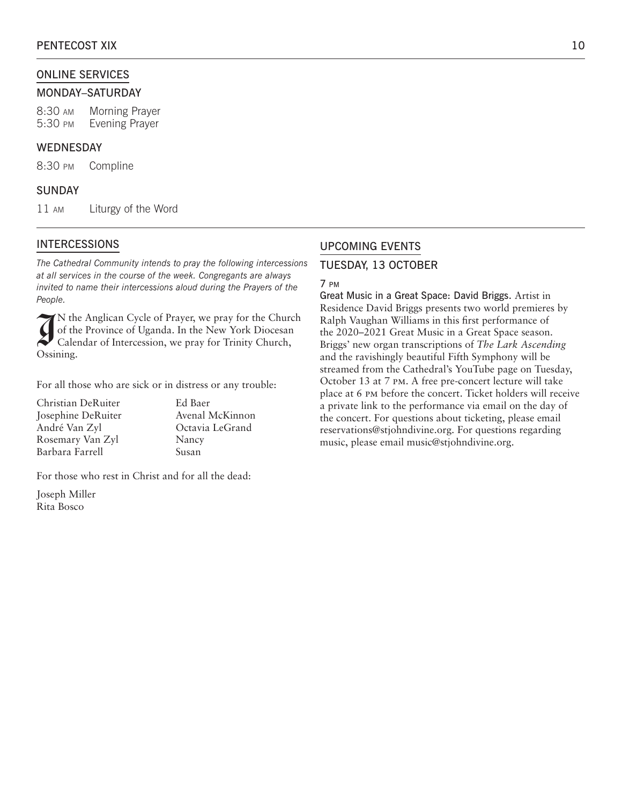## ONLINE SERVICES

#### MONDAY–SATURDAY

8:30 am Morning Prayer 5:30 pm Evening Prayer

## WEDNESDAY

8:30 pm Compline

## SUNDAY

11 am Liturgy of the Word

## INTERCESSIONS

*The Cathedral Community intends to pray the following intercessions at all services in the course of the week. Congregants are always invited to name their intercessions aloud during the Prayers of the People.*

 $\widetilde{A}$ N the Anglican Cycle of Prayer, we pray for the Church of the Province of Uganda. In the New York Diocesan Calendar of Intercession, we pray for Trinity Church, Ossining.

For all those who are sick or in distress or any trouble:

| Christian DeRuiter |
|--------------------|
| Josephine DeRuiter |
| André Van Zyl      |
| Rosemary Van Zyl   |
| Barbara Farrell    |

Ed Baer Avenal McKinnon Octavia LeGrand Nancy Susan

For those who rest in Christ and for all the dead:

Joseph Miller Rita Bosco

## UPCOMING EVENTS

#### TUESDAY, 13 OCTOBER

#### 7 pm

Great Music in a Great Space: David Briggs. Artist in Residence David Briggs presents two world premieres by Ralph Vaughan Williams in this first performance of the 2020–2021 Great Music in a Great Space season. Briggs' new organ transcriptions of *The Lark Ascending*  and the ravishingly beautiful Fifth Symphony will be streamed from the Cathedral's YouTube page on Tuesday, October 13 at 7 pm. A free pre-concert lecture will take place at 6 pm before the concert. Ticket holders will receive a private link to the performance via email on the day of the concert. For questions about ticketing, please email reservations@stjohndivine.org. For questions regarding music, please email music@stjohndivine.org.